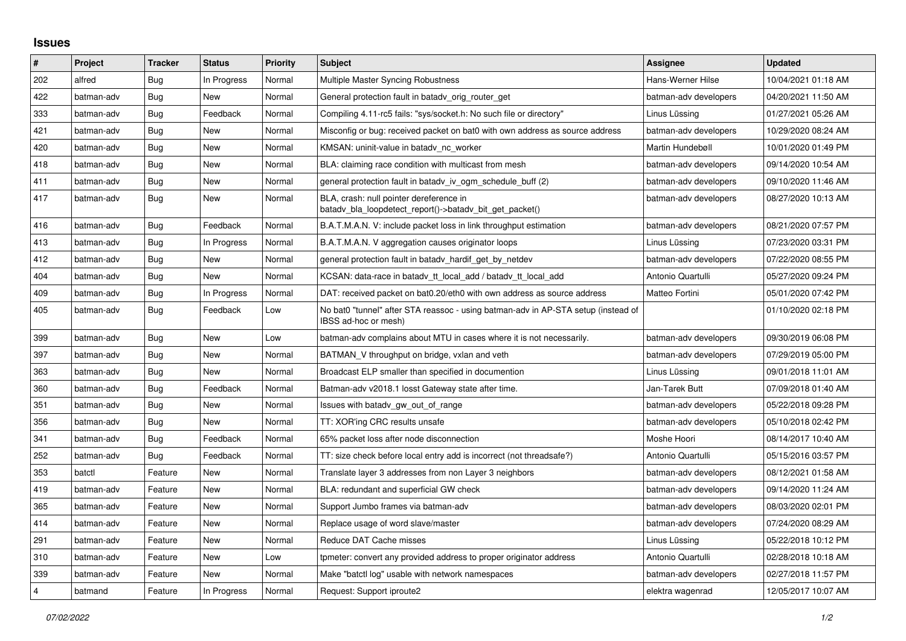## **Issues**

| $\vert$ #      | Project    | <b>Tracker</b> | <b>Status</b> | <b>Priority</b> | <b>Subject</b>                                                                                            | Assignee              | <b>Updated</b>      |
|----------------|------------|----------------|---------------|-----------------|-----------------------------------------------------------------------------------------------------------|-----------------------|---------------------|
| 202            | alfred     | Bug            | In Progress   | Normal          | Multiple Master Syncing Robustness                                                                        | Hans-Werner Hilse     | 10/04/2021 01:18 AM |
| 422            | batman-adv | Bug            | New           | Normal          | General protection fault in batady orig router get                                                        | batman-adv developers | 04/20/2021 11:50 AM |
| 333            | batman-adv | Bug            | Feedback      | Normal          | Compiling 4.11-rc5 fails: "sys/socket.h: No such file or directory"                                       | Linus Lüssing         | 01/27/2021 05:26 AM |
| 421            | batman-adv | <b>Bug</b>     | New           | Normal          | Misconfig or bug: received packet on bat0 with own address as source address                              | batman-adv developers | 10/29/2020 08:24 AM |
| 420            | batman-adv | <b>Bug</b>     | <b>New</b>    | Normal          | KMSAN: uninit-value in batady nc worker                                                                   | Martin Hundebøll      | 10/01/2020 01:49 PM |
| 418            | batman-adv | <b>Bug</b>     | New           | Normal          | BLA: claiming race condition with multicast from mesh                                                     | batman-adv developers | 09/14/2020 10:54 AM |
| 411            | batman-adv | <b>Bug</b>     | New           | Normal          | general protection fault in batady iv ogm_schedule_buff (2)                                               | batman-adv developers | 09/10/2020 11:46 AM |
| 417            | batman-adv | <b>Bug</b>     | <b>New</b>    | Normal          | BLA, crash: null pointer dereference in<br>batady bla loopdetect report()->batady bit get packet()        | batman-adv developers | 08/27/2020 10:13 AM |
| 416            | batman-adv | <b>Bug</b>     | Feedback      | Normal          | B.A.T.M.A.N. V: include packet loss in link throughput estimation                                         | batman-adv developers | 08/21/2020 07:57 PM |
| 413            | batman-adv | <b>Bug</b>     | In Progress   | Normal          | B.A.T.M.A.N. V aggregation causes originator loops                                                        | Linus Lüssing         | 07/23/2020 03:31 PM |
| 412            | batman-adv | <b>Bug</b>     | <b>New</b>    | Normal          | general protection fault in batady hardif get by netdev                                                   | batman-adv developers | 07/22/2020 08:55 PM |
| 404            | batman-adv | <b>Bug</b>     | <b>New</b>    | Normal          | KCSAN: data-race in batady tt local add / batady tt local add                                             | Antonio Quartulli     | 05/27/2020 09:24 PM |
| 409            | batman-adv | Bug            | In Progress   | Normal          | DAT: received packet on bat0.20/eth0 with own address as source address                                   | Matteo Fortini        | 05/01/2020 07:42 PM |
| 405            | batman-adv | Bug            | Feedback      | Low             | No bat0 "tunnel" after STA reassoc - using batman-adv in AP-STA setup (instead of<br>IBSS ad-hoc or mesh) |                       | 01/10/2020 02:18 PM |
| 399            | batman-adv | Bug            | <b>New</b>    | Low             | batman-ady complains about MTU in cases where it is not necessarily.                                      | batman-adv developers | 09/30/2019 06:08 PM |
| 397            | batman-adv | <b>Bug</b>     | New           | Normal          | BATMAN V throughput on bridge, vxlan and veth                                                             | batman-adv developers | 07/29/2019 05:00 PM |
| 363            | batman-adv | Bug            | New           | Normal          | Broadcast ELP smaller than specified in documention                                                       | Linus Lüssing         | 09/01/2018 11:01 AM |
| 360            | batman-adv | Bug            | Feedback      | Normal          | Batman-adv v2018.1 losst Gateway state after time.                                                        | Jan-Tarek Butt        | 07/09/2018 01:40 AM |
| 351            | batman-adv | Bug            | New           | Normal          | Issues with batady gw out of range                                                                        | batman-adv developers | 05/22/2018 09:28 PM |
| 356            | batman-adv | Bug            | <b>New</b>    | Normal          | TT: XOR'ing CRC results unsafe                                                                            | batman-adv developers | 05/10/2018 02:42 PM |
| 341            | batman-adv | Bug            | Feedback      | Normal          | 65% packet loss after node disconnection                                                                  | Moshe Hoori           | 08/14/2017 10:40 AM |
| 252            | batman-adv | Bug            | Feedback      | Normal          | TT: size check before local entry add is incorrect (not threadsafe?)                                      | Antonio Quartulli     | 05/15/2016 03:57 PM |
| 353            | batctl     | Feature        | New           | Normal          | Translate layer 3 addresses from non Layer 3 neighbors                                                    | batman-adv developers | 08/12/2021 01:58 AM |
| 419            | batman-adv | Feature        | New           | Normal          | BLA: redundant and superficial GW check                                                                   | batman-adv developers | 09/14/2020 11:24 AM |
| 365            | batman-adv | Feature        | New           | Normal          | Support Jumbo frames via batman-adv                                                                       | batman-adv developers | 08/03/2020 02:01 PM |
| 414            | batman-adv | Feature        | New           | Normal          | Replace usage of word slave/master                                                                        | batman-adv developers | 07/24/2020 08:29 AM |
| 291            | batman-adv | Feature        | New           | Normal          | Reduce DAT Cache misses                                                                                   | Linus Lüssing         | 05/22/2018 10:12 PM |
| 310            | batman-adv | Feature        | <b>New</b>    | Low             | tpmeter: convert any provided address to proper originator address                                        | Antonio Quartulli     | 02/28/2018 10:18 AM |
| 339            | batman-adv | Feature        | <b>New</b>    | Normal          | Make "batctl log" usable with network namespaces                                                          | batman-adv developers | 02/27/2018 11:57 PM |
| $\overline{4}$ | batmand    | Feature        | In Progress   | Normal          | Request: Support iproute2                                                                                 | elektra wagenrad      | 12/05/2017 10:07 AM |